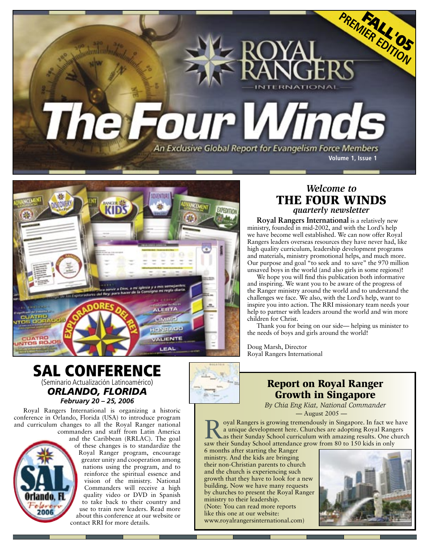



### *Welcome to* THE FOUR WINDS *quarterly newsletter*

**Royal Rangers International** is a relatively new ministry, founded in mid-2002, and with the Lord's help we have become well established. We can now offer Royal Rangers leaders overseas resources they have never had, like high quality curriculum, leadership development programs and materials, ministry promotional helps, and much more. Our purpose and goal "to seek and to save" the 970 million unsaved boys in the world (and also girls in some regions)!

We hope you will find this publication both informative and inspiring. We want you to be aware of the progress of the Ranger ministry around the world and to understand the challenges we face. We also, with the Lord's help, want to inspire you into action. The RRI missionary team needs your help to partner with leaders around the world and win more children for Christ.

Thank you for being on our side— helping us minister to the needs of boys and girls around the world!

Doug Marsh, Director Royal Rangers International

# SAL CONFERENCE (Seminario Actualización Latinoamérico) *ORLANDO, FLORIDA*

# *February 20 – 25, 2006*

Royal Rangers International is organizing a historic conference in Orlando, Florida (USA) to introduce program and curriculum changes to all the Royal Ranger national commanders and staff from Latin America

2006



## Report on Royal Ranger Growth in Singapore

*By Chia Eng Kiat, National Commander* — August 2005 —

oyal Rangers is growing tremendously in Singapore. In fact we have a unique development here. Churches are adopting Royal Rangers as their Sunday School curriculum with amazing results. One church saw their Sunday School attendance grow from 80 to 150 kids in only

6 months after starting the Ranger ministry. And the kids are bringing their non-Christian parents to church and the church is experiencing such growth that they have to look for a new building. Now we have many requests by churches to present the Royal Ranger ministry to their leadership. (Note: You can read more reports like this one at our website: [www.royalrangersinternational.com\)](www.royalrangersinternational.com)